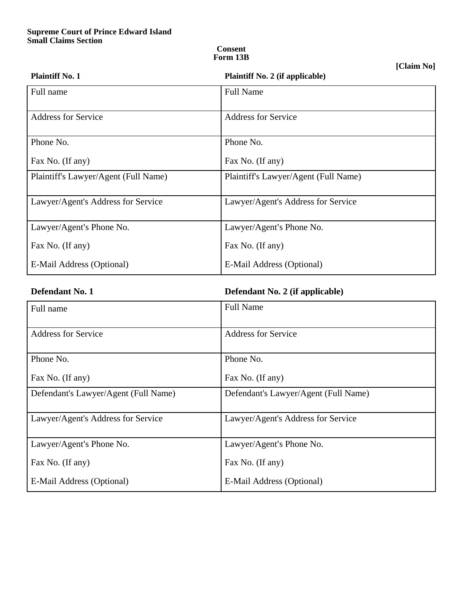## **Consent Form 13B**

**[Claim No]**

| <b>Plaintiff No. 1</b>               | <b>Plaintiff No. 2 (if applicable)</b> |  |
|--------------------------------------|----------------------------------------|--|
| Full name                            | <b>Full Name</b>                       |  |
| <b>Address for Service</b>           | <b>Address for Service</b>             |  |
| Phone No.                            | Phone No.                              |  |
| Fax No. (If any)                     | Fax No. (If any)                       |  |
| Plaintiff's Lawyer/Agent (Full Name) | Plaintiff's Lawyer/Agent (Full Name)   |  |
| Lawyer/Agent's Address for Service   | Lawyer/Agent's Address for Service     |  |
| Lawyer/Agent's Phone No.             | Lawyer/Agent's Phone No.               |  |
| Fax No. (If any)                     | Fax No. (If any)                       |  |
| E-Mail Address (Optional)            | E-Mail Address (Optional)              |  |

**Defendant No. 1 Defendant No. 2 (if applicable)**

| Full name                            | <b>Full Name</b>                     |  |  |
|--------------------------------------|--------------------------------------|--|--|
| <b>Address for Service</b>           | <b>Address for Service</b>           |  |  |
| Phone No.                            | Phone No.                            |  |  |
| Fax No. (If any)                     | Fax No. (If any)                     |  |  |
| Defendant's Lawyer/Agent (Full Name) | Defendant's Lawyer/Agent (Full Name) |  |  |
| Lawyer/Agent's Address for Service   | Lawyer/Agent's Address for Service   |  |  |
| Lawyer/Agent's Phone No.             | Lawyer/Agent's Phone No.             |  |  |
| Fax No. (If any)                     | Fax No. (If any)                     |  |  |
| E-Mail Address (Optional)            | E-Mail Address (Optional)            |  |  |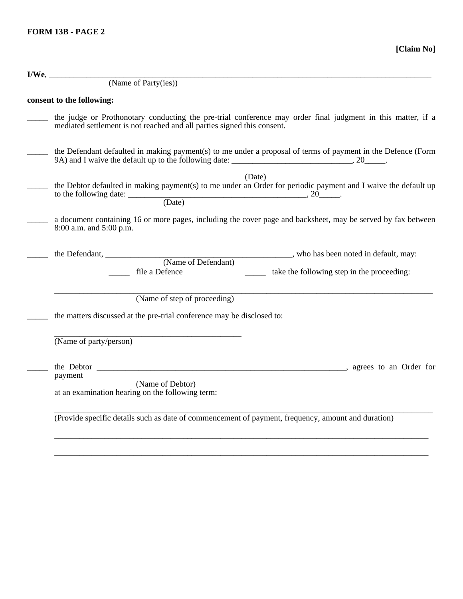| $I/We$ ,                                                                                                                                                                                     |  |  |  |  |  |
|----------------------------------------------------------------------------------------------------------------------------------------------------------------------------------------------|--|--|--|--|--|
| (Name of Party(ies))                                                                                                                                                                         |  |  |  |  |  |
| consent to the following:                                                                                                                                                                    |  |  |  |  |  |
| the judge or Prothonotary conducting the pre-trial conference may order final judgment in this matter, if a<br>mediated settlement is not reached and all parties signed this consent.       |  |  |  |  |  |
| the Defendant defaulted in making payment(s) to me under a proposal of terms of payment in the Defence (Form                                                                                 |  |  |  |  |  |
| (Date)<br>the Debtor defaulted in making payment(s) to me under an Order for periodic payment and I waive the default up<br>to the following date: $\underbrace{\hspace{2cm}}$ (Date) (Date) |  |  |  |  |  |
| a document containing 16 or more pages, including the cover page and backsheet, may be served by fax between<br>8:00 a.m. and 5:00 p.m.                                                      |  |  |  |  |  |
| _________________, who has been noted in default, may:<br>(Name of Defendant)<br>file a Defence<br>take the following step in the proceeding:                                                |  |  |  |  |  |
| (Name of step of proceeding)<br>the matters discussed at the pre-trial conference may be disclosed to:                                                                                       |  |  |  |  |  |
| (Name of party/person)                                                                                                                                                                       |  |  |  |  |  |
| payment<br>(Name of Debtor)<br>at an examination hearing on the following term:                                                                                                              |  |  |  |  |  |

\_\_\_\_\_\_\_\_\_\_\_\_\_\_\_\_\_\_\_\_\_\_\_\_\_\_\_\_\_\_\_\_\_\_\_\_\_\_\_\_\_\_\_\_\_\_\_\_\_\_\_\_\_\_\_\_\_\_\_\_\_\_\_\_\_\_\_\_\_\_\_\_\_\_\_\_\_\_\_\_\_\_\_\_\_\_\_\_\_\_